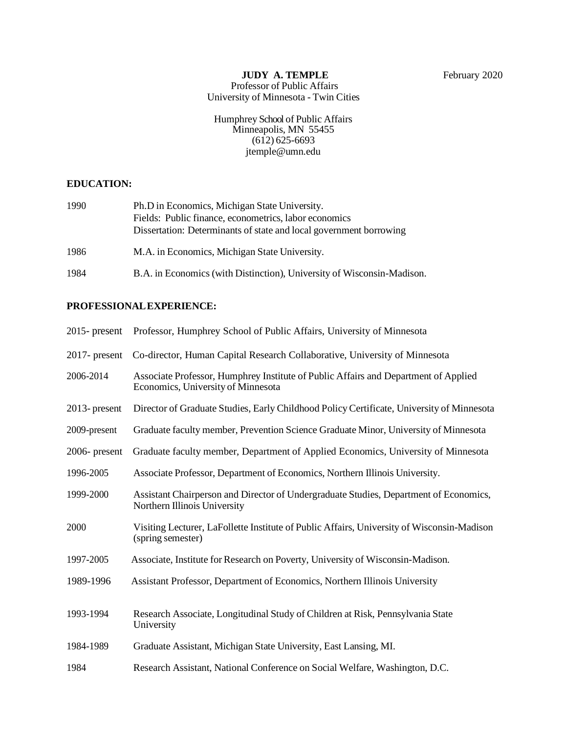# **JUDY A. TEMPLE** February 2020

Professor of Public Affairs University of Minnesota - Twin Cities

Humphrey School of Public Affairs Minneapolis, MN 55455 (612) 625-6693 [jtemple@umn.edu](mailto:jtemple@umn.edu)

### **EDUCATION:**

| 1990 | Ph.D in Economics, Michigan State University.                      |
|------|--------------------------------------------------------------------|
|      | Fields: Public finance, econometrics, labor economics              |
|      | Dissertation: Determinants of state and local government borrowing |
| 1986 | M.A. in Economics, Michigan State University.                      |

1984 B.A. in Economics (with Distinction), University of Wisconsin-Madison.

## **PROFESSIONALEXPERIENCE:**

|                  | 2015- present Professor, Humphrey School of Public Affairs, University of Minnesota                                       |
|------------------|---------------------------------------------------------------------------------------------------------------------------|
| $2017$ - present | Co-director, Human Capital Research Collaborative, University of Minnesota                                                |
| 2006-2014        | Associate Professor, Humphrey Institute of Public Affairs and Department of Applied<br>Economics, University of Minnesota |
| $2013$ - present | Director of Graduate Studies, Early Childhood Policy Certificate, University of Minnesota                                 |
| 2009-present     | Graduate faculty member, Prevention Science Graduate Minor, University of Minnesota                                       |
| $2006$ - present | Graduate faculty member, Department of Applied Economics, University of Minnesota                                         |
| 1996-2005        | Associate Professor, Department of Economics, Northern Illinois University.                                               |
| 1999-2000        | Assistant Chairperson and Director of Undergraduate Studies, Department of Economics,<br>Northern Illinois University     |
| 2000             | Visiting Lecturer, LaFollette Institute of Public Affairs, University of Wisconsin-Madison<br>(spring semester)           |
| 1997-2005        | Associate, Institute for Research on Poverty, University of Wisconsin-Madison.                                            |
| 1989-1996        | Assistant Professor, Department of Economics, Northern Illinois University                                                |
| 1993-1994        | Research Associate, Longitudinal Study of Children at Risk, Pennsylvania State<br>University                              |
| 1984-1989        | Graduate Assistant, Michigan State University, East Lansing, MI.                                                          |
| 1984             | Research Assistant, National Conference on Social Welfare, Washington, D.C.                                               |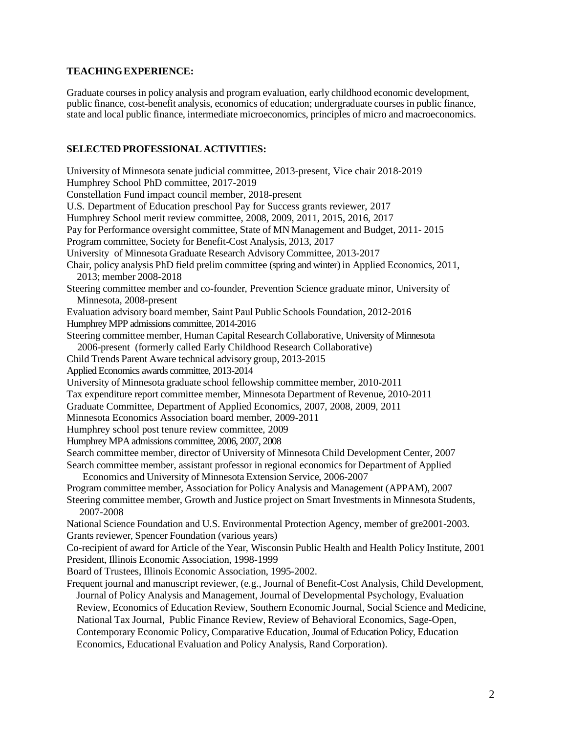## **TEACHINGEXPERIENCE:**

Graduate courses in policy analysis and program evaluation, early childhood economic development, public finance, cost-benefit analysis, economics of education; undergraduate courses in public finance, state and local public finance, intermediate microeconomics, principles of micro and macroeconomics.

#### **SELECTED PROFESSIONAL ACTIVITIES:**

University of Minnesota senate judicial committee, 2013-present, Vice chair 2018-2019 Humphrey School PhD committee, 2017-2019 Constellation Fund impact council member, 2018-present U.S. Department of Education preschool Pay for Success grants reviewer, 2017 Humphrey School merit review committee, 2008, 2009, 2011, 2015, 2016, 2017 Pay for Performance oversight committee, State of MN Management and Budget, 2011- 2015 Program committee, Society for Benefit-Cost Analysis, 2013, 2017 University of Minnesota Graduate Research AdvisoryCommittee, 2013-2017 Chair, policy analysis PhD field prelim committee (spring and winter) in Applied Economics, 2011, 2013; member 2008-2018 Steering committee member and co-founder, Prevention Science graduate minor, University of Minnesota, 2008-present Evaluation advisory board member, Saint Paul Public Schools Foundation, 2012-2016 Humphrey MPP admissions committee, 2014-2016 Steering committee member, Human Capital Research Collaborative, University of Minnesota 2006-present (formerly called Early Childhood Research Collaborative) Child Trends Parent Aware technical advisory group, 2013-2015 Applied Economics awards committee, 2013-2014 University of Minnesota graduate school fellowship committee member, 2010-2011 Tax expenditure report committee member, Minnesota Department of Revenue, 2010-2011 Graduate Committee, Department of Applied Economics, 2007, 2008, 2009, 2011 Minnesota Economics Association board member, 2009-2011 Humphrey school post tenure review committee, 2009 Humphrey MPA admissions committee, 2006, 2007, 2008 Search committee member, director of University of Minnesota Child Development Center, 2007 Search committee member, assistant professor in regional economics for Department of Applied Economics and University of Minnesota Extension Service, 2006-2007 Program committee member, Association for Policy Analysis and Management (APPAM), 2007 Steering committee member, Growth and Justice project on Smart Investments in Minnesota Students, 2007-2008 National Science Foundation and U.S. Environmental Protection Agency, member of gre2001-2003. Grants reviewer, Spencer Foundation (various years) Co-recipient of award for Article of the Year, Wisconsin Public Health and Health Policy Institute, 2001 President, Illinois Economic Association, 1998-1999 Board of Trustees, Illinois Economic Association, 1995-2002. Frequent journal and manuscript reviewer, (e.g., Journal of Benefit-Cost Analysis, Child Development, Journal of Policy Analysis and Management, Journal of Developmental Psychology, Evaluation Review, Economics of Education Review, Southern Economic Journal, Social Science and Medicine, National Tax Journal, Public Finance Review, Review of Behavioral Economics, Sage-Open, Contemporary Economic Policy, Comparative Education, Journal of Education Policy, Education Economics, Educational Evaluation and Policy Analysis, Rand Corporation).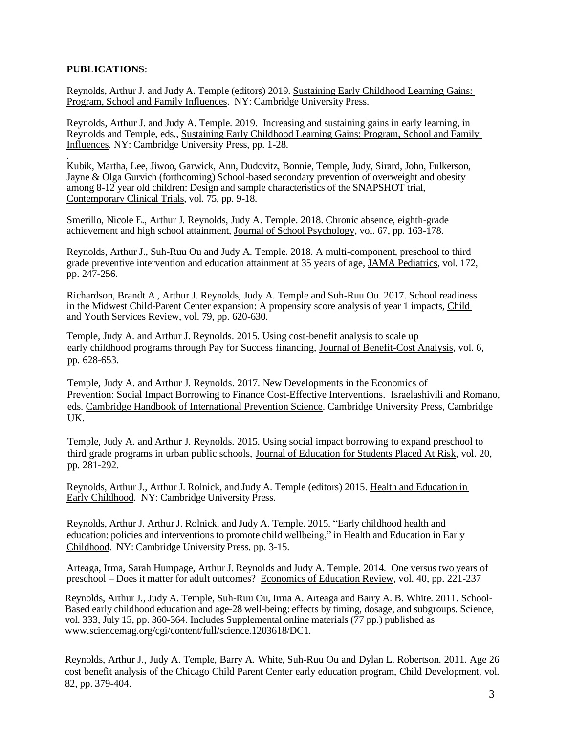#### **PUBLICATIONS**:

Reynolds, Arthur J. and Judy A. Temple (editors) 2019. Sustaining Early Childhood Learning Gains: Program, School and Family Influences. NY: Cambridge University Press.

Reynolds, Arthur J. and Judy A. Temple. 2019. Increasing and sustaining gains in early learning, in Reynolds and Temple, eds., Sustaining Early Childhood Learning Gains: Program, School and Family Influences. NY: Cambridge University Press, pp. 1-28.

. Kubik, Martha, Lee, Jiwoo, Garwick, Ann, Dudovitz, Bonnie, Temple, Judy, Sirard, John, Fulkerson, Jayne & Olga Gurvich (forthcoming) School-based secondary prevention of overweight and obesity among 8-12 year old children: Design and sample characteristics of the SNAPSHOT trial, Contemporary Clinical Trials, vol. 75, pp. 9-18.

Smerillo, Nicole E., Arthur J. Reynolds, Judy A. Temple. 2018. Chronic absence, eighth-grade achievement and high school attainment, Journal of School Psychology, vol. 67, pp. 163-178.

Reynolds, Arthur J., Suh-Ruu Ou and Judy A. Temple. 2018. A multi-component, preschool to third grade preventive intervention and education attainment at 35 years of age, JAMA Pediatrics, vol. 172, pp. 247-256.

Richardson, Brandt A., Arthur J. Reynolds, Judy A. Temple and Suh-Ruu Ou. 2017. School readiness in the Midwest Child-Parent Center expansion: A propensity score analysis of year 1 impacts, Child and Youth Services Review, vol. 79, pp. 620-630.

Temple, Judy A. and Arthur J. Reynolds. 2015. Using cost-benefit analysis to scale up early childhood programs through Pay for Success financing, Journal of Benefit-Cost Analysis, vol. 6, pp. 628-653.

Temple, Judy A. and Arthur J. Reynolds. 2017. New Developments in the Economics of Prevention: Social Impact Borrowing to Finance Cost-Effective Interventions. Israelashivili and Romano, eds. Cambridge Handbook of International Prevention Science. Cambridge University Press, Cambridge UK.

Temple, Judy A. and Arthur J. Reynolds. 2015. Using social impact borrowing to expand preschool to third grade programs in urban public schools, Journal of Education for Students Placed At Risk, vol. 20, pp. 281-292.

Reynolds, Arthur J., Arthur J. Rolnick, and Judy A. Temple (editors) 2015. Health and Education in Early Childhood. NY: Cambridge University Press.

Reynolds, Arthur J. Arthur J. Rolnick, and Judy A. Temple. 2015. "Early childhood health and education: policies and interventions to promote child wellbeing," in Health and Education in Early Childhood. NY: Cambridge University Press, pp. 3-15.

Arteaga, Irma, Sarah Humpage, Arthur J. Reynolds and Judy A. Temple. 2014. One versus two years of preschool – Does it matter for adult outcomes? Economics of Education Review, vol. 40, pp. 221-237

Reynolds, Arthur J., Judy A. Temple, Suh-Ruu Ou, Irma A. Arteaga and Barry A. B. White. 2011. School-Based early childhood education and age-28 well-being: effects by timing, dosage, and subgroups. Science, vol. 333, July 15, pp. 360-364. Includes Supplemental online materials (77 pp.) published a[s](http://www.sciencemag.org/cgi/content/full/science.1203618/DC1) [www.sciencemag.org/cgi/content/full/science.1203618/DC1.](http://www.sciencemag.org/cgi/content/full/science.1203618/DC1)

Reynolds, Arthur J., Judy A. Temple, Barry A. White, Suh-Ruu Ou and Dylan L. Robertson. 2011. Age 26 cost benefit analysis of the Chicago Child Parent Center early education program, Child Development, vol. 82, pp. 379-404.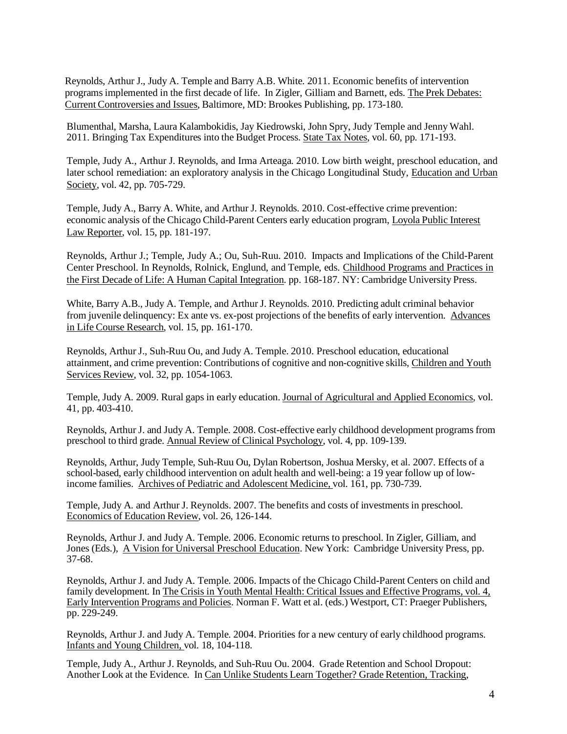Reynolds, Arthur J., Judy A. Temple and Barry A.B. White. 2011. Economic benefits of intervention programs implemented in the first decade of life. In Zigler, Gilliam and Barnett, eds. The Prek Debates: Current Controversies and Issues, Baltimore, MD: Brookes Publishing, pp. 173-180.

Blumenthal, Marsha, Laura Kalambokidis, Jay Kiedrowski, John Spry, Judy Temple and Jenny Wahl. 2011. Bringing Tax Expenditures into the Budget Process. State Tax Notes*,* vol. 60, pp. 171-193.

Temple, Judy A., Arthur J. Reynolds, and Irma Arteaga. 2010. Low birth weight, preschool education, and later school remediation: an exploratory analysis in the Chicago Longitudinal Study, Education and Urban Society, vol. 42, pp. 705-729.

Temple, Judy A., Barry A. White, and Arthur J. Reynolds. 2010. Cost-effective crime prevention: economic analysis of the Chicago Child-Parent Centers early education program, Loyola Public Interest Law Reporter, vol. 15, pp. 181-197.

Reynolds, Arthur J.; Temple, Judy A.; Ou, Suh-Ruu. 2010. Impacts and Implications of the Child-Parent Center Preschool. In Reynolds, Rolnick, Englund, and Temple, eds. Childhood Programs and Practices in the First Decade of Life: A Human Capital Integration. pp. 168-187. NY: Cambridge University Press.

White, Barry A.B., Judy A. Temple, and Arthur J. Reynolds. 2010. Predicting adult criminal behavior from juvenile delinquency: Ex ante vs. ex-post projections of the benefits of early intervention. Advances in Life Course Research, vol. 15, pp. 161-170.

Reynolds, Arthur J., Suh-Ruu Ou, and Judy A. Temple. 2010. Preschool education, educational attainment, and crime prevention: Contributions of cognitive and non-cognitive skills, Children and Youth Services Review, vol. 32, pp. 1054-1063.

Temple, Judy A. 2009. Rural gaps in early education. Journal of Agricultural and Applied Economics, vol. 41, pp. 403-410.

Reynolds, ArthurJ. and Judy A. Temple. 2008. Cost-effective early childhood development programs from preschool to third grade. Annual Review of Clinical Psychology, vol. 4, pp. 109-139.

Reynolds, Arthur, Judy Temple, Suh-Ruu Ou, Dylan Robertson, Joshua Mersky, et al. 2007. Effects of a school-based, early childhood intervention on adult health and well-being: a 19 year follow up of lowincome families. Archives of Pediatric and Adolescent Medicine, vol. 161, pp. 730-739.

Temple, Judy A. and Arthur J. Reynolds. 2007. The benefits and costs of investments in preschool. Economics of Education Review, vol. 26, 126-144.

Reynolds, Arthur J. and Judy A. Temple. 2006. Economic returns to preschool. In Zigler, Gilliam, and Jones (Eds.), A Vision for Universal Preschool Education. New York: Cambridge University Press, pp. 37-68.

Reynolds, Arthur J. and Judy A. Temple. 2006. Impacts of the Chicago Child-Parent Centers on child and family development. In The Crisis in Youth Mental Health: Critical Issues and Effective Programs, vol. 4, Early Intervention Programs and Policies. Norman F. Watt et al. (eds.) Westport, CT: Praeger Publishers, pp. 229-249.

Reynolds, Arthur J. and Judy A. Temple. 2004. Priorities for a new century of early childhood programs. Infants and Young Children, vol. 18, 104-118.

Temple, Judy A., Arthur J. Reynolds, and Suh-Ruu Ou. 2004. Grade Retention and School Dropout: Another Look at the Evidence. In Can Unlike Students Learn Together? Grade Retention, Tracking,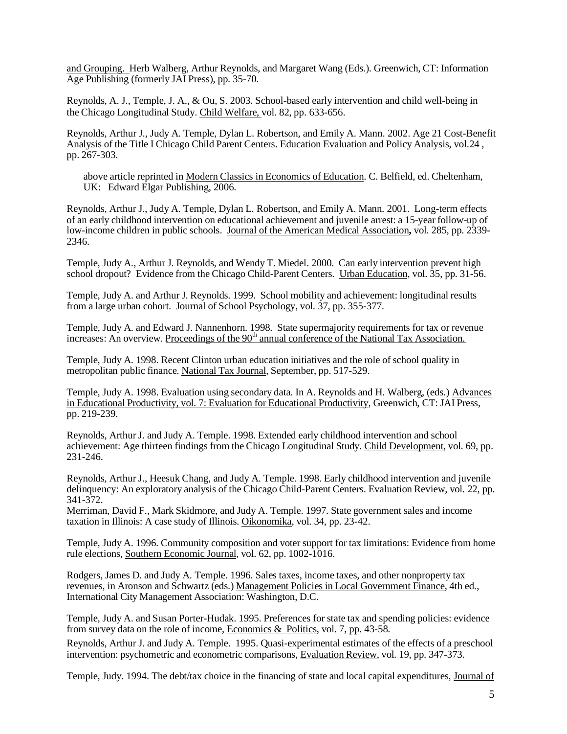and Grouping. Herb Walberg, Arthur Reynolds, and Margaret Wang (Eds.). Greenwich, CT: Information Age Publishing (formerly JAI Press), pp. 35-70.

Reynolds, A. J., Temple, J. A., & Ou, S. 2003. School-based early intervention and child well-being in the Chicago Longitudinal Study. Child Welfare, vol. 82, pp. 633-656.

Reynolds, Arthur J., Judy A. Temple, Dylan L. Robertson, and Emily A. Mann. 2002. Age 21 Cost-Benefit Analysis of the Title I Chicago Child Parent Centers. Education Evaluation and Policy Analysis, vol.24 , pp. 267-303.

above article reprinted in Modern Classics in Economics of Education. C. Belfield, ed. Cheltenham, UK: Edward Elgar Publishing, 2006.

Reynolds, Arthur J., Judy A. Temple, Dylan L. Robertson, and Emily A. Mann. 2001. Long-term effects of an early childhood intervention on educational achievement and juvenile arrest: a 15-year follow-up of low-income children in public schools. Journal of the American Medical Association**,** vol. 285, pp. 2339- 2346.

Temple, Judy A., Arthur J. Reynolds, and Wendy T. Miedel. 2000. Can early intervention prevent high school dropout? Evidence from the Chicago Child-Parent Centers. Urban Education, vol. 35, pp. 31-56.

Temple, Judy A. and Arthur J. Reynolds. 1999. School mobility and achievement: longitudinal results from a large urban cohort. Journal of School Psychology, vol. 37, pp. 355-377.

Temple, Judy A. and Edward J. Nannenhorn. 1998. State supermajority requirements for tax or revenue increases: An overview. Proceedings of the 90<sup>th</sup> annual conference of the National Tax Association.

Temple, Judy A. 1998. Recent Clinton urban education initiatives and the role ofschool quality in metropolitan public finance. National Tax Journal, September, pp. 517-529.

Temple, Judy A. 1998. Evaluation using secondary data. In A. Reynolds and H. Walberg, (eds.) Advances in Educational Productivity, vol. 7: Evaluation for Educational Productivity, Greenwich, CT: JAI Press, pp. 219-239.

Reynolds, Arthur J. and Judy A. Temple. 1998. Extended early childhood intervention and school achievement: Age thirteen findings from the Chicago Longitudinal Study. Child Development, vol. 69, pp. 231-246.

Reynolds, ArthurJ., Heesuk Chang, and Judy A. Temple. 1998. Early childhood intervention and juvenile delinquency: An exploratory analysis of the Chicago Child-Parent Centers. Evaluation Review, vol. 22, pp. 341-372.

Merriman, David F., Mark Skidmore, and Judy A. Temple. 1997. State government sales and income taxation in Illinois: A case study of Illinois. Oikonomika, vol. 34, pp. 23-42.

Temple, Judy A. 1996. Community composition and voter support for tax limitations: Evidence from home rule elections, Southern Economic Journal, vol. 62, pp. 1002-1016.

Rodgers, James D. and Judy A. Temple. 1996. Sales taxes, income taxes, and other nonproperty tax revenues, in Aronson and Schwartz (eds.) Management Policies in Local Government Finance, 4th ed., International City Management Association: Washington, D.C.

Temple, Judy A. and Susan Porter-Hudak. 1995. Preferences for state tax and spending policies: evidence from survey data on the role of income, Economics & Politics, vol. 7, pp. 43-58.

Reynolds, Arthur J. and Judy A. Temple. 1995. Quasi-experimental estimates of the effects of a preschool intervention: psychometric and econometric comparisons, Evaluation Review, vol. 19, pp. 347-373.

Temple, Judy. 1994. The debt/tax choice in the financing of state and local capital expenditures, Journal of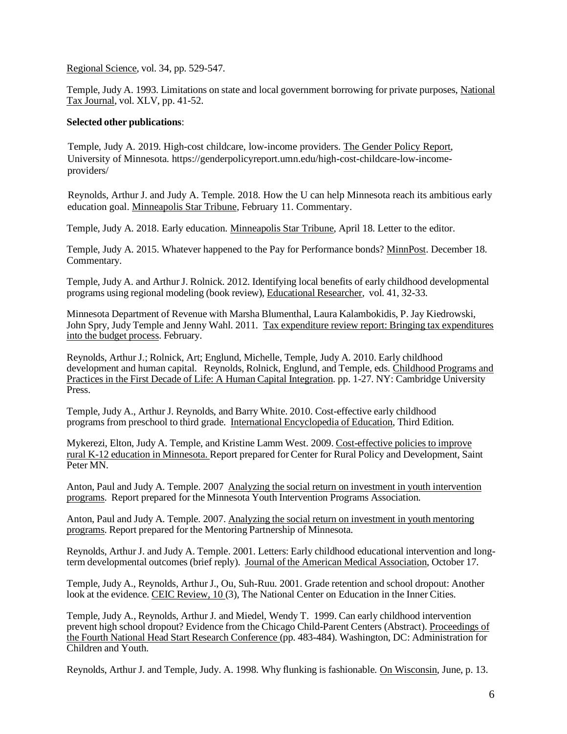Regional Science, vol. 34, pp. 529-547.

Temple, Judy A. 1993. Limitations on state and local government borrowing for private purposes, National Tax Journal, vol. XLV, pp. 41-52.

#### **Selected other publications**:

 Temple, Judy A. 2019. High-cost childcare, low-income providers. The Gender Policy Report, University of Minnesota. https://genderpolicyreport.umn.edu/high-cost-childcare-low-income providers/

 Reynolds, Arthur J. and Judy A. Temple. 2018. How the U can help Minnesota reach its ambitious early education goal. Minneapolis Star Tribune, February 11. Commentary.

Temple, Judy A. 2018. Early education. Minneapolis Star Tribune, April 18. Letter to the editor.

Temple, Judy A. 2015. Whatever happened to the Pay for Performance bonds? MinnPost. December 18. Commentary.

Temple, Judy A. and Arthur J. Rolnick. 2012. Identifying local benefits of early childhood developmental programs using regional modeling (book review), Educational Researcher, vol. 41, 32-33.

Minnesota Department of Revenue with Marsha Blumenthal, Laura Kalambokidis, P. Jay Kiedrowski, John Spry, Judy Temple and Jenny Wahl. 2011. Tax expenditure review report: Bringing tax expenditures into the budget process. February.

Reynolds, ArthurJ.; Rolnick, Art; Englund, Michelle, Temple, Judy A. 2010. Early childhood development and human capital. Reynolds, Rolnick, Englund, and Temple, eds. Childhood Programs and Practices in the First Decade of Life: A Human Capital Integration. pp. 1-27. NY: Cambridge University Press.

Temple, Judy A., Arthur J. Reynolds, and Barry White. 2010. Cost-effective early childhood programs from preschool to third grade. International Encyclopedia of Education, Third Edition.

Mykerezi, Elton, Judy A. Temple, and Kristine Lamm West. 2009. Cost-effective policies to improve rural K-12 education in Minnesota. Report prepared for Center for Rural Policy and Development, Saint Peter MN.

Anton, Paul and Judy A. Temple. 2007 Analyzing the social return on investment in youth intervention programs. Report prepared for the Minnesota Youth Intervention Programs Association.

Anton, Paul and Judy A. Temple. 2007. Analyzing the social return on investment in youth mentoring programs. Report prepared for the Mentoring Partnership of Minnesota.

Reynolds, ArthurJ. and Judy A. Temple. 2001. Letters: Early childhood educational intervention and longterm developmental outcomes (brief reply). Journal of the American Medical Association, October 17.

Temple, Judy A., Reynolds, ArthurJ., Ou, Suh-Ruu. 2001. Grade retention and school dropout: Another look at the evidence. CEIC Review, 10 (3), The National Center on Education in the Inner Cities.

Temple, Judy A., Reynolds, Arthur J. and Miedel, Wendy T. 1999. Can early childhood intervention prevent high school dropout? Evidence from the Chicago Child-Parent Centers (Abstract). Proceedings of the Fourth National Head Start Research Conference (pp. 483-484). Washington, DC: Administration for Children and Youth.

Reynolds, Arthur J. and Temple, Judy. A. 1998. Why flunking is fashionable. On Wisconsin, June, p. 13.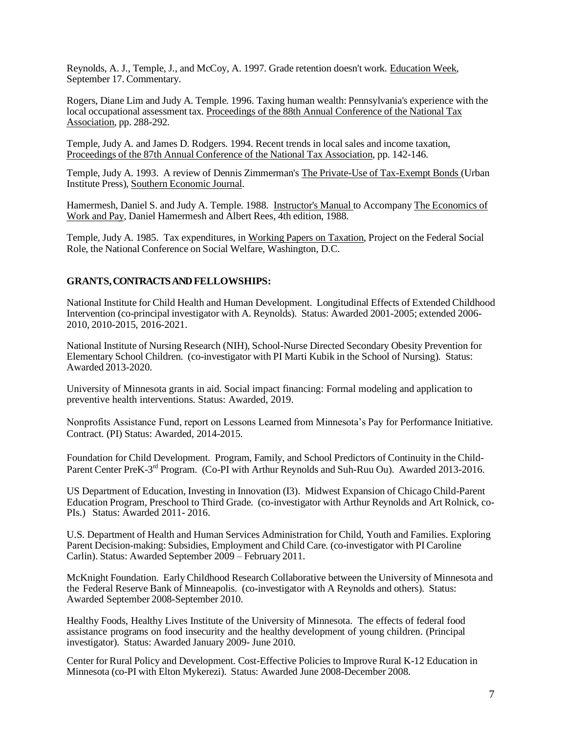Reynolds, A. J., Temple, J., and McCoy, A. 1997. Grade retention doesn't work. Education Week, September 17. Commentary.

Rogers, Diane Lim and Judy A. Temple. 1996. Taxing human wealth: Pennsylvania's experience with the local occupational assessment tax. Proceedings of the 88th Annual Conference of the National Tax Association, pp. 288-292.

Temple, Judy A. and James D. Rodgers. 1994. Recent trends in local sales and income taxation, Proceedings of the 87th Annual Conference of the National Tax Association, pp. 142-146.

Temple, Judy A. 1993. A review of Dennis Zimmerman's The Private-Use of Tax-Exempt Bonds (Urban Institute Press), Southern Economic Journal.

Hamermesh, Daniel S. and Judy A. Temple. 1988. Instructor's Manual to Accompany The Economics of Work and Pay, Daniel Hamermesh and Albert Rees, 4th edition, 1988.

Temple, Judy A. 1985. Tax expenditures, in Working Papers on Taxation, Project on the Federal Social Role, the National Conference on Social Welfare, Washington, D.C.

#### **GRANTS, CONTRACTS ANDFELLOWSHIPS:**

National Institute for Child Health and Human Development. Longitudinal Effects of Extended Childhood Intervention (co-principal investigator with A. Reynolds). Status: Awarded 2001-2005; extended 2006- 2010, 2010-2015, 2016-2021.

National Institute of Nursing Research (NIH), School-Nurse Directed Secondary Obesity Prevention for Elementary School Children. (co-investigator with PI Marti Kubik in the School of Nursing). Status: Awarded 2013-2020.

University of Minnesota grants in aid. Social impact financing: Formal modeling and application to preventive health interventions. Status: Awarded, 2019.

Nonprofits Assistance Fund, report on Lessons Learned from Minnesota's Pay for Performance Initiative. Contract. (PI) Status: Awarded, 2014-2015.

Foundation for Child Development. Program, Family, and School Predictors of Continuity in the Child-Parent Center PreK-3<sup>rd</sup> Program. (Co-PI with Arthur Reynolds and Suh-Ruu Ou). Awarded 2013-2016.

US Department of Education, Investing in Innovation (I3). Midwest Expansion of Chicago Child-Parent Education Program, Preschool to Third Grade. (co-investigator with Arthur Reynolds and Art Rolnick, co-PIs.) Status: Awarded 2011- 2016.

U.S. Department of Health and Human Services Administration for Child, Youth and Families. Exploring Parent Decision-making: Subsidies, Employment and Child Care. (co-investigator with PI Caroline Carlin). Status: Awarded September 2009 – February 2011.

McKnight Foundation. Early Childhood Research Collaborative between the University of Minnesota and the Federal Reserve Bank of Minneapolis. (co-investigator with A Reynolds and others). Status: Awarded September 2008-September 2010.

Healthy Foods, Healthy Lives Institute of the University of Minnesota. The effects of federal food assistance programs on food insecurity and the healthy development of young children. (Principal investigator). Status: Awarded January 2009- June 2010.

Center for Rural Policy and Development. Cost-Effective Policies to Improve Rural K-12 Education in Minnesota (co-PI with Elton Mykerezi). Status: Awarded June 2008-December 2008.